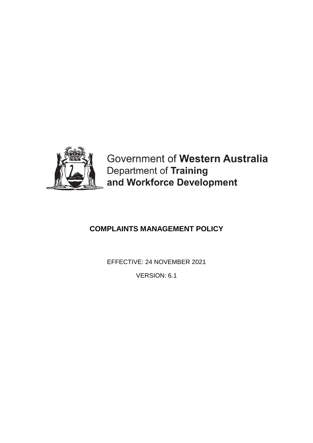

Government of Western Australia Department of Training and Workforce Development

# **COMPLAINTS MANAGEMENT POLICY**

EFFECTIVE: 24 NOVEMBER 2021

VERSION: 6.1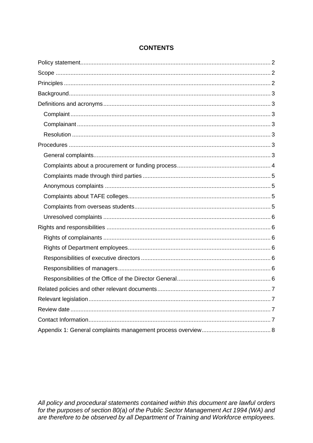# **CONTENTS**

All policy and procedural statements contained within this document are lawful orders<br>for the purposes of section 80(a) of the Public Sector Management Act 1994 (WA) and are therefore to be observed by all Department of Training and Workforce employees.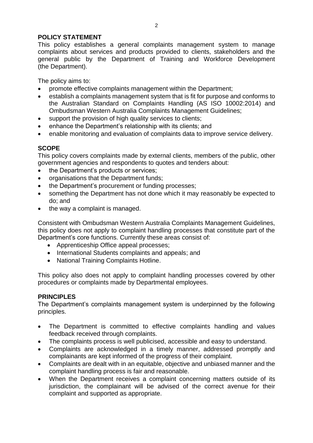# <span id="page-2-0"></span>**POLICY STATEMENT**

This policy establishes a general complaints management system to manage complaints about services and products provided to clients, stakeholders and the general public by the Department of Training and Workforce Development (the Department).

The policy aims to:

- promote effective complaints management within the Department;
- establish a complaints management system that is fit for purpose and conforms to the Australian Standard on Complaints Handling (AS ISO 10002:2014) and Ombudsman Western Australia Complaints Management Guidelines;
- support the provision of high quality services to clients;
- enhance the Department's relationship with its clients; and
- enable monitoring and evaluation of complaints data to improve service delivery.

# <span id="page-2-1"></span>**SCOPE**

This policy covers complaints made by external clients, members of the public, other government agencies and respondents to quotes and tenders about:

- the Department's products or services;
- organisations that the Department funds:
- the Department's procurement or funding processes;
- something the Department has not done which it may reasonably be expected to do; and
- $\bullet$  the way a complaint is managed.

Consistent with Ombudsman Western Australia Complaints Management Guidelines, this policy does not apply to complaint handling processes that constitute part of the Department's core functions. Currently these areas consist of:

- Apprenticeship Office appeal processes;
- International Students complaints and appeals; and
- National Training Complaints Hotline.

This policy also does not apply to complaint handling processes covered by other procedures or complaints made by Departmental employees.

# <span id="page-2-2"></span>**PRINCIPLES**

The Department's complaints management system is underpinned by the following principles.

- The Department is committed to effective complaints handling and values feedback received through complaints.
- The complaints process is well publicised, accessible and easy to understand.
- Complaints are acknowledged in a timely manner, addressed promptly and complainants are kept informed of the progress of their complaint.
- Complaints are dealt with in an equitable, objective and unbiased manner and the complaint handling process is fair and reasonable.
- When the Department receives a complaint concerning matters outside of its jurisdiction, the complainant will be advised of the correct avenue for their complaint and supported as appropriate.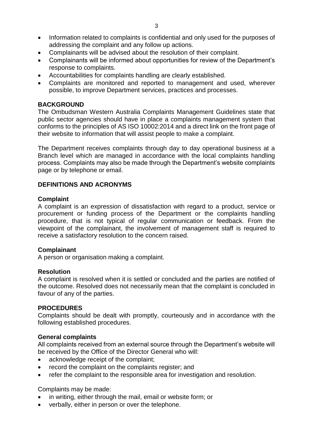- Information related to complaints is confidential and only used for the purposes of addressing the complaint and any follow up actions.
- Complainants will be advised about the resolution of their complaint.
- Complainants will be informed about opportunities for review of the Department's response to complaints.
- Accountabilities for complaints handling are clearly established.
- Complaints are monitored and reported to management and used, wherever possible, to improve Department services, practices and processes.

#### <span id="page-3-0"></span>**BACKGROUND**

The Ombudsman Western Australia Complaints Management Guidelines state that public sector agencies should have in place a complaints management system that conforms to the principles of AS ISO 10002:2014 and a direct link on the front page of their website to information that will assist people to make a complaint.

The Department receives complaints through day to day operational business at a Branch level which are managed in accordance with the local complaints handling process. Complaints may also be made through the Department's website complaints page or by telephone or email.

#### <span id="page-3-1"></span>**DEFINITIONS AND ACRONYMS**

#### <span id="page-3-2"></span>**Complaint**

A complaint is an expression of dissatisfaction with regard to a product, service or procurement or funding process of the Department or the complaints handling procedure, that is not typical of regular communication or feedback. From the viewpoint of the complainant, the involvement of management staff is required to receive a satisfactory resolution to the concern raised.

#### <span id="page-3-3"></span>**Complainant**

A person or organisation making a complaint.

#### <span id="page-3-4"></span>**Resolution**

A complaint is resolved when it is settled or concluded and the parties are notified of the outcome. Resolved does not necessarily mean that the complaint is concluded in favour of any of the parties.

#### <span id="page-3-5"></span>**PROCEDURES**

Complaints should be dealt with promptly, courteously and in accordance with the following established procedures.

#### <span id="page-3-6"></span>**General complaints**

All complaints received from an external source through the Department's website will be received by the Office of the Director General who will:

- acknowledge receipt of the complaint;
- record the complaint on the complaints register; and
- refer the complaint to the responsible area for investigation and resolution.

Complaints may be made:

- in writing, either through the mail, email or website form; or
- verbally, either in person or over the telephone.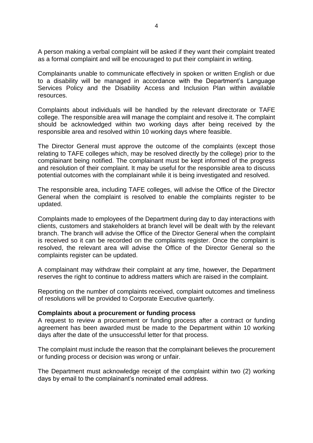A person making a verbal complaint will be asked if they want their complaint treated as a formal complaint and will be encouraged to put their complaint in writing.

Complainants unable to communicate effectively in spoken or written English or due to a disability will be managed in accordance with the Department's Language Services Policy and the Disability Access and Inclusion Plan within available resources.

Complaints about individuals will be handled by the relevant directorate or TAFE college. The responsible area will manage the complaint and resolve it. The complaint should be acknowledged within two working days after being received by the responsible area and resolved within 10 working days where feasible.

The Director General must approve the outcome of the complaints (except those relating to TAFE colleges which, may be resolved directly by the college) prior to the complainant being notified. The complainant must be kept informed of the progress and resolution of their complaint. It may be useful for the responsible area to discuss potential outcomes with the complainant while it is being investigated and resolved.

The responsible area, including TAFE colleges, will advise the Office of the Director General when the complaint is resolved to enable the complaints register to be updated.

Complaints made to employees of the Department during day to day interactions with clients, customers and stakeholders at branch level will be dealt with by the relevant branch. The branch will advise the Office of the Director General when the complaint is received so it can be recorded on the complaints register. Once the complaint is resolved, the relevant area will advise the Office of the Director General so the complaints register can be updated.

A complainant may withdraw their complaint at any time, however, the Department reserves the right to continue to address matters which are raised in the complaint.

Reporting on the number of complaints received, complaint outcomes and timeliness of resolutions will be provided to Corporate Executive quarterly.

#### <span id="page-4-0"></span>**Complaints about a procurement or funding process**

A request to review a procurement or funding process after a contract or funding agreement has been awarded must be made to the Department within 10 working days after the date of the unsuccessful letter for that process.

The complaint must include the reason that the complainant believes the procurement or funding process or decision was wrong or unfair.

The Department must acknowledge receipt of the complaint within two (2) working days by email to the complainant's nominated email address.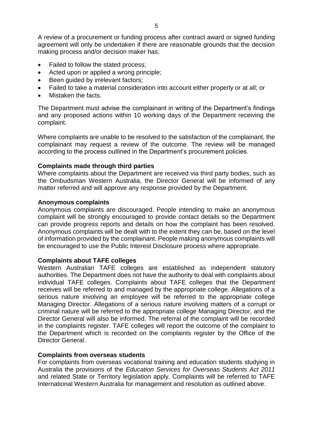A review of a procurement or funding process after contract award or signed funding agreement will only be undertaken if there are reasonable grounds that the decision making process and/or decision maker has:

- Failed to follow the stated process;
- Acted upon or applied a wrong principle;
- Been quided by irrelevant factors;
- Failed to take a material consideration into account either properly or at all; or
- Mistaken the facts.

The Department must advise the complainant in writing of the Department's findings and any proposed actions within 10 working days of the Department receiving the complaint.

Where complaints are unable to be resolved to the satisfaction of the complainant, the complainant may request a review of the outcome. The review will be managed according to the process outlined in the Department's procurement policies.

#### <span id="page-5-0"></span>**Complaints made through third parties**

Where complaints about the Department are received via third party bodies, such as the Ombudsman Western Australia, the Director General will be informed of any matter referred and will approve any response provided by the Department.

#### <span id="page-5-1"></span>**Anonymous complaints**

Anonymous complaints are discouraged. People intending to make an anonymous complaint will be strongly encouraged to provide contact details so the Department can provide progress reports and details on how the complaint has been resolved. Anonymous complaints will be dealt with to the extent they can be, based on the level of information provided by the complainant. People making anonymous complaints will be encouraged to use the Public Interest Disclosure process where appropriate.

#### <span id="page-5-2"></span>**Complaints about TAFE colleges**

Western Australian TAFE colleges are established as independent statutory authorities. The Department does not have the authority to deal with complaints about individual TAFE colleges. Complaints about TAFE colleges that the Department receives will be referred to and managed by the appropriate college. Allegations of a serious nature involving an employee will be referred to the appropriate college Managing Director. Allegations of a serious nature involving matters of a corrupt or criminal nature will be referred to the appropriate college Managing Director, and the Director General will also be informed. The referral of the complaint will be recorded in the complaints register. TAFE colleges will report the outcome of the complaint to the Department which is recorded on the complaints register by the Office of the Director General.

#### <span id="page-5-3"></span>**Complaints from overseas students**

<span id="page-5-4"></span>For complaints from overseas vocational training and education students studying in Australia the provisions of the *Education Services for Overseas Students Act 2011* and related State or Territory legislation apply. Complaints will be referred to TAFE International Western Australia for management and resolution as outlined above.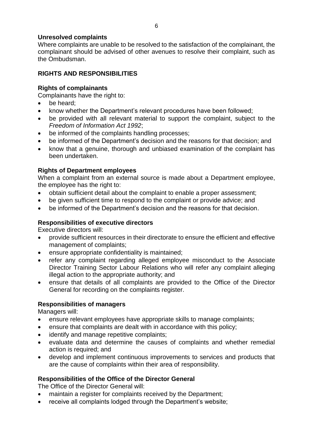## **Unresolved complaints**

Where complaints are unable to be resolved to the satisfaction of the complainant, the complainant should be advised of other avenues to resolve their complaint, such as the Ombudsman.

# <span id="page-6-0"></span>**RIGHTS AND RESPONSIBILITIES**

# <span id="page-6-1"></span>**Rights of complainants**

Complainants have the right to:

- be heard;
- know whether the Department's relevant procedures have been followed;
- be provided with all relevant material to support the complaint, subject to the *Freedom of Information Act 1992*;
- be informed of the complaints handling processes;
- be informed of the Department's decision and the reasons for that decision; and
- know that a genuine, thorough and unbiased examination of the complaint has been undertaken.

# <span id="page-6-2"></span>**Rights of Department employees**

When a complaint from an external source is made about a Department employee, the employee has the right to:

- obtain sufficient detail about the complaint to enable a proper assessment;
- be given sufficient time to respond to the complaint or provide advice; and
- be informed of the Department's decision and the reasons for that decision.

# <span id="page-6-3"></span>**Responsibilities of executive directors**

Executive directors will:

- provide sufficient resources in their directorate to ensure the efficient and effective management of complaints;
- ensure appropriate confidentiality is maintained;
- refer any complaint regarding alleged employee misconduct to the Associate Director Training Sector Labour Relations who will refer any complaint alleging illegal action to the appropriate authority; and
- ensure that details of all complaints are provided to the Office of the Director General for recording on the complaints register.

## <span id="page-6-4"></span>**Responsibilities of managers**

Managers will:

- ensure relevant employees have appropriate skills to manage complaints;
- ensure that complaints are dealt with in accordance with this policy;
- identify and manage repetitive complaints;
- evaluate data and determine the causes of complaints and whether remedial action is required; and
- develop and implement continuous improvements to services and products that are the cause of complaints within their area of responsibility.

## <span id="page-6-5"></span>**Responsibilities of the Office of the Director General**

The Office of the Director General will:

- maintain a register for complaints received by the Department;
- receive all complaints lodged through the Department's website;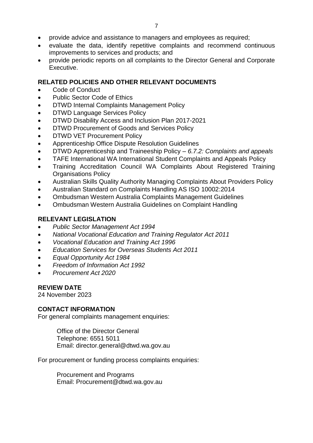- provide advice and assistance to managers and employees as required;
- evaluate the data, identify repetitive complaints and recommend continuous improvements to services and products; and
- provide periodic reports on all complaints to the Director General and Corporate Executive.

# <span id="page-7-0"></span>**RELATED POLICIES AND OTHER RELEVANT DOCUMENTS**

- Code of Conduct
- Public Sector Code of Ethics
- DTWD Internal Complaints Management Policy
- DTWD Language Services Policy
- DTWD Disability Access and Inclusion Plan 2017-2021
- DTWD Procurement of Goods and Services Policy
- DTWD VET Procurement Policy
- Apprenticeship Office Dispute Resolution Guidelines
- DTWD Apprenticeship and Traineeship Policy *6.7.2: Complaints and appeals*
- TAFE International WA International Student Complaints and Appeals Policy
- Training Accreditation Council WA Complaints About Registered Training Organisations Policy
- Australian Skills Quality Authority Managing Complaints About Providers Policy
- Australian Standard on Complaints Handling AS ISO 10002:2014
- Ombudsman Western Australia Complaints Management Guidelines
- Ombudsman Western Australia Guidelines on Complaint Handling

# <span id="page-7-1"></span>**RELEVANT LEGISLATION**

- *Public Sector Management Act 1994*
- *National Vocational Education and Training Regulator Act 2011*
- *Vocational Education and Training Act 1996*
- *Education Services for Overseas Students Act 2011*
- *Equal Opportunity Act 1984*
- *Freedom of Information Act 1992*
- *Procurement Act 2020*

## <span id="page-7-2"></span>**REVIEW DATE**

24 November 2023

## <span id="page-7-3"></span>**CONTACT INFORMATION**

For general complaints management enquiries:

Office of the Director General Telephone: 6551 5011 Email: director.general@dtwd.wa.gov.au

For procurement or funding process complaints enquiries:

Procurement and Programs Email: Procurement@dtwd.wa.gov.au